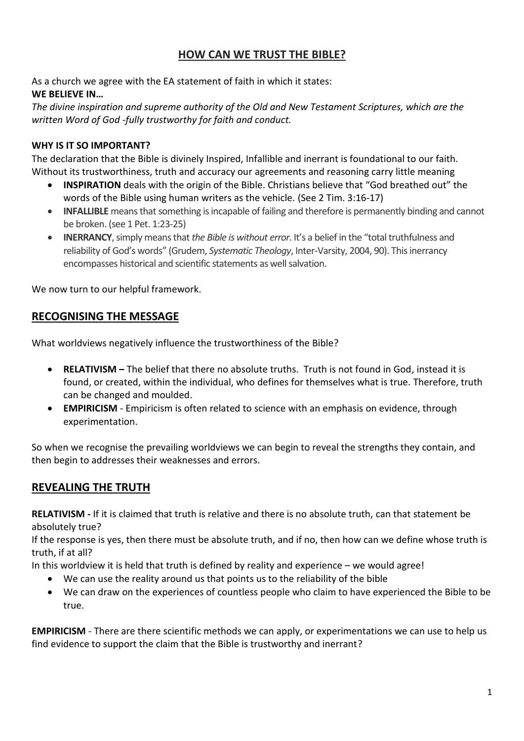# **HOW CAN WE TRUST THE BIBLE?**

As a church we agree with the EA statement of faith in which it states: **WE BELIEVE IN…**

*The divine inspiration and supreme authority of the Old and New Testament Scriptures, which are the written Word of God -fully trustworthy for faith and conduct.*

#### **WHY IS IT SO IMPORTANT?**

The declaration that the Bible is divinely Inspired, Infallible and inerrant is foundational to our faith. Without its trustworthiness, truth and accuracy our agreements and reasoning carry little meaning

- **INSPIRATION** deals with the origin of the Bible. Christians believe that "God breathed out" the words of the Bible using human writers as the vehicle. (See 2 Tim. 3:16-17)
- **INFALLIBLE** means that something is incapable of failing and therefore is permanently binding and cannot be broken. (see 1 Pet. 1:23-25)
- **INERRANCY**,simply means that *the Bible is without error*. It's a belief in the "total truthfulness and reliability of God's words" (Grudem, *Systematic Theology*, Inter-Varsity, 2004, 90). This inerrancy encompasses historical and scientific statements as well salvation.

We now turn to our helpful framework.

## **RECOGNISING THE MESSAGE**

What worldviews negatively influence the trustworthiness of the Bible?

- **RELATIVISM –** The belief that there no absolute truths. Truth is not found in God, instead it is found, or created, within the individual, who defines for themselves what is true. Therefore, truth can be changed and moulded.
- **EMPIRICISM** Empiricism is often related to science with an emphasis on evidence, through experimentation.

So when we recognise the prevailing worldviews we can begin to reveal the strengths they contain, and then begin to addresses their weaknesses and errors.

## **REVEALING THE TRUTH**

**RELATIVISM -** If it is claimed that truth is relative and there is no absolute truth, can that statement be absolutely true?

If the response is yes, then there must be absolute truth, and if no, then how can we define whose truth is truth, if at all?

In this worldview it is held that truth is defined by reality and experience – we would agree!

- We can use the reality around us that points us to the reliability of the bible
- We can draw on the experiences of countless people who claim to have experienced the Bible to be true.

**EMPIRICISM** - There are there scientific methods we can apply, or experimentations we can use to help us find evidence to support the claim that the Bible is trustworthy and inerrant?